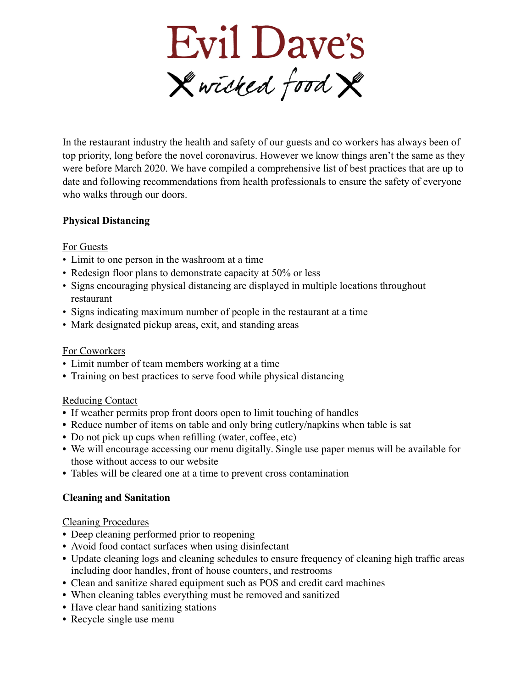

In the restaurant industry the health and safety of our guests and co workers has always been of top priority, long before the novel coronavirus. However we know things aren't the same as they were before March 2020. We have compiled a comprehensive list of best practices that are up to date and following recommendations from health professionals to ensure the safety of everyone who walks through our doors.

### **Physical Distancing**

### For Guests

- Limit to one person in the washroom at a time
- Redesign floor plans to demonstrate capacity at 50% or less
- Signs encouraging physical distancing are displayed in multiple locations throughout restaurant
- Signs indicating maximum number of people in the restaurant at a time
- Mark designated pickup areas, exit, and standing areas

### For Coworkers

- Limit number of team members working at a time
- Training on best practices to serve food while physical distancing

### Reducing Contact

- If weather permits prop front doors open to limit touching of handles
- Reduce number of items on table and only bring cutlery/napkins when table is sat
- Do not pick up cups when refilling (water, coffee, etc)
- We will encourage accessing our menu digitally. Single use paper menus will be available for those without access to our website
- Tables will be cleared one at a time to prevent cross contamination

# **Cleaning and Sanitation**

### Cleaning Procedures

- Deep cleaning performed prior to reopening
- Avoid food contact surfaces when using disinfectant
- Update cleaning logs and cleaning schedules to ensure frequency of cleaning high traffic areas including door handles, front of house counters, and restrooms
- Clean and sanitize shared equipment such as POS and credit card machines
- When cleaning tables everything must be removed and sanitized
- Have clear hand sanitizing stations
- Recycle single use menu